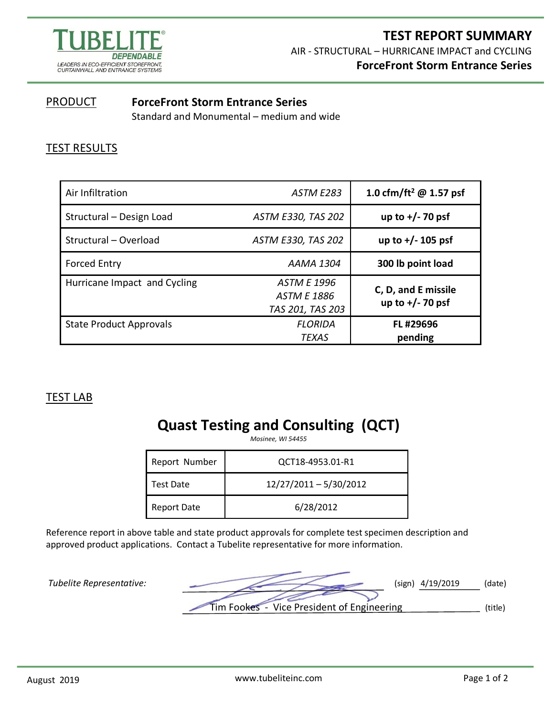

#### **PRODUCT ForceFront Storm Entrance Series**

Standard and Monumental – medium and wide

## TEST RESULTS

| Air Infiltration               | ASTM E283                                                    | 1.0 cfm/ft <sup>2</sup> @ 1.57 psf        |
|--------------------------------|--------------------------------------------------------------|-------------------------------------------|
| Structural - Design Load       | <b>ASTM E330, TAS 202</b>                                    | up to $+/- 70$ psf                        |
| Structural - Overload          | ASTM E330, TAS 202                                           | up to $+/- 105$ psf                       |
| <b>Forced Entry</b>            | AAMA 1304                                                    | 300 lb point load                         |
| Hurricane Impact and Cycling   | <b>ASTM E 1996</b><br><b>ASTM E 1886</b><br>TAS 201, TAS 203 | C, D, and E missile<br>up to $+/- 70$ psf |
| <b>State Product Approvals</b> | <b>FLORIDA</b><br><b>TEXAS</b>                               | FL#29696<br>pending                       |

### TEST LAB

# **Quast Testing and Consulting (QCT)**

*Mosinee, WI 54455*

| Report Number      | QCT18-4953.01-R1       |  |
|--------------------|------------------------|--|
| Test Date          | 12/27/2011 - 5/30/2012 |  |
| <b>Report Date</b> | 6/28/2012              |  |

Reference report in above table and state product approvals for complete test specimen description and approved product applications. Contact a Tubelite representative for more information.

*Tubelite Representative:* (sign) 4/19/2019 (date) Tim Fookes - Vice President of Engineering (title)